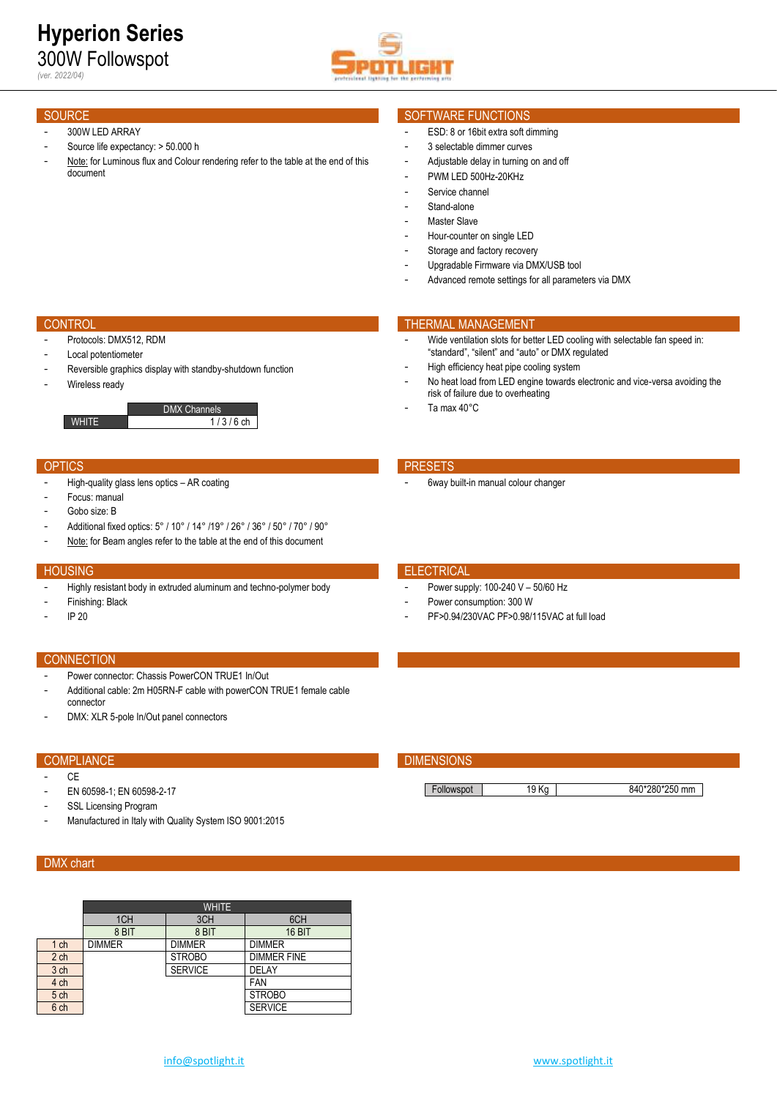

- 300W LED ARRAY
- Source life expectancy: > 50.000 h
- Note: for Luminous flux and Colour rendering refer to the table at the end of this document

# SOURCE SOURCE SOFTWARE FUNCTIONS

- ESD: 8 or 16bit extra soft dimming
- 3 selectable dimmer curves
- Adjustable delay in turning on and off
- PWM LED 500Hz-20KHz
- Service channel
- Stand-alone
- Master Slave
- Hour-counter on single LED
- Storage and factory recovery
- Upgradable Firmware via DMX/USB tool
- Advanced remote settings for all parameters via DMX

- Protocols: DMX512, RDM
- Local potentiometer
- Reversible graphics display with standby-shutdown function
- Wireless ready

DMX Channels WHITE  $1/3/6$  ch

### OPTICS **PRESETS**

- High-quality glass lens optics AR coating
- Focus: manual
- Gobo size: B
- Additional fixed optics: 5° / 10° / 14° /19° / 26° / 36° / 50° / 70° / 90°
- Note: for Beam angles refer to the table at the end of this document

- Highly resistant body in extruded aluminum and techno-polymer body
- Finishing: Black
- IP 20

### **CONNECTION**

- Power connector: Chassis PowerCON TRUE1 In/Out
- Additional cable: 2m H05RN-F cable with powerCON TRUE1 female cable connector
- DMX: XLR 5-pole In/Out panel connectors

- $C<sub>F</sub>$
- EN 60598-1; EN 60598-2-17
- SSL Licensing Program
- Manufactured in Italy with Quality System ISO 9001:2015

# DMX chart

|                 | <b>WHITE</b>  |                |                    |  |  |  |  |  |  |  |  |
|-----------------|---------------|----------------|--------------------|--|--|--|--|--|--|--|--|
|                 | 1CH           | 3CH            | 6CH                |  |  |  |  |  |  |  |  |
|                 | 8 BIT         | 8 BIT          | 16 BIT             |  |  |  |  |  |  |  |  |
| 1 <sub>ch</sub> | <b>DIMMER</b> | <b>DIMMER</b>  | <b>DIMMER</b>      |  |  |  |  |  |  |  |  |
| 2 <sub>ch</sub> |               | <b>STROBO</b>  | <b>DIMMER FINE</b> |  |  |  |  |  |  |  |  |
| 3 ch            |               | <b>SERVICE</b> | DELAY              |  |  |  |  |  |  |  |  |
| 4 ch            |               |                | FAN                |  |  |  |  |  |  |  |  |
| 5 ch            |               |                | <b>STROBO</b>      |  |  |  |  |  |  |  |  |
| 6 ch            |               |                | <b>SERVICE</b>     |  |  |  |  |  |  |  |  |

## **CONTROL THERMAL MANAGEMENT**

- Wide ventilation slots for better LED cooling with selectable fan speed in: "standard", "silent" and "auto" or DMX regulated
- High efficiency heat pipe cooling system
- No heat load from LED engine towards electronic and vice-versa avoiding the risk of failure due to overheating
- Ta max 40°C

6way built-in manual colour changer

### **HOUSING ELECTRICAL CONTROL**

- Power supply: 100-240 V 50/60 Hz
- Power consumption: 300 W
- PF>0.94/230VAC PF>0.98/115VAC at full load